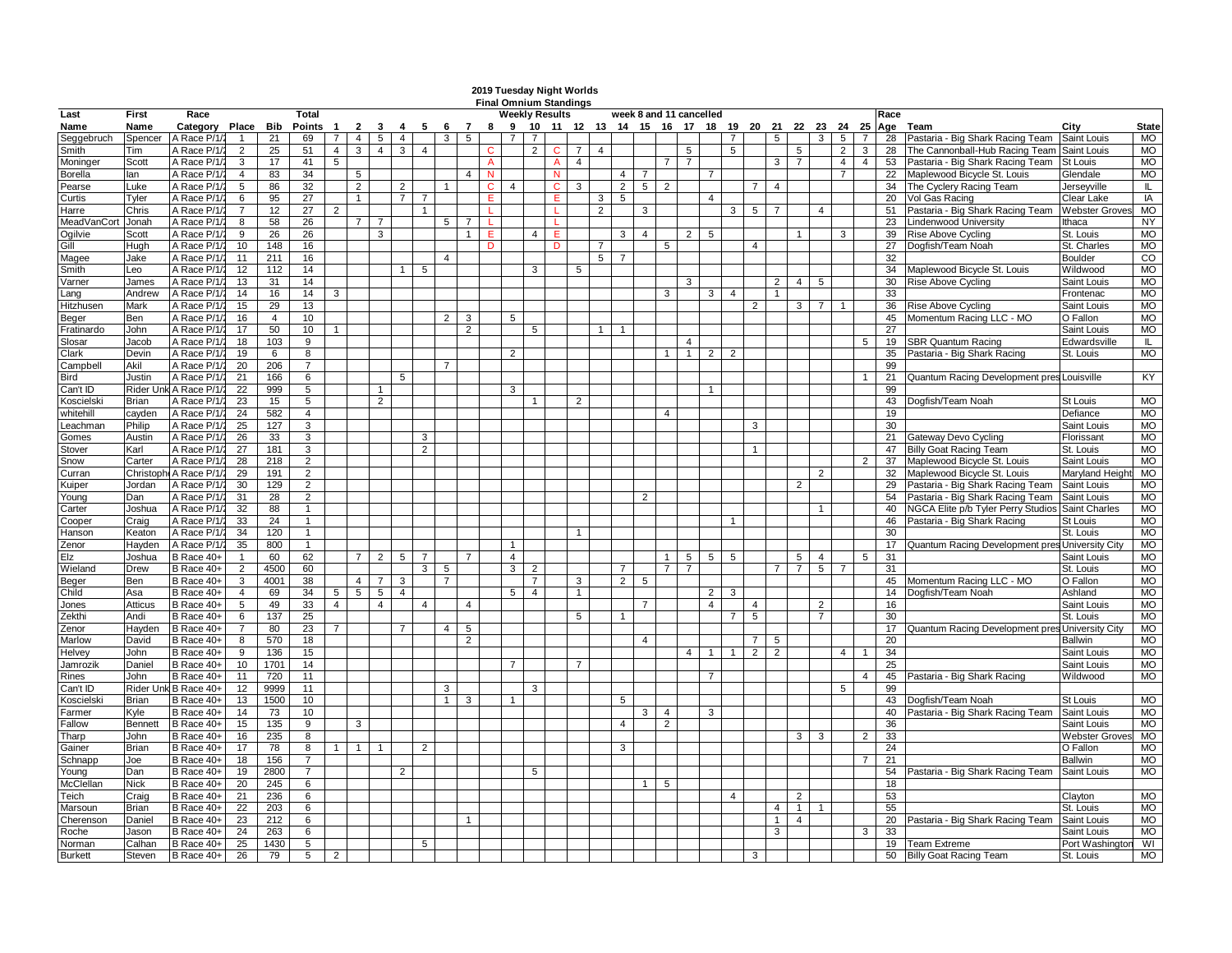|                    |                |                            |                |                |                     |                         |                |                 |                 |                |                |                |    |                 |                |                       | 2019 Tuesday Night Worlds     |                |                |                |                         |                 |                                                   |                |                |                |                |                |                |                |          |                                                       |                           |                        |
|--------------------|----------------|----------------------------|----------------|----------------|---------------------|-------------------------|----------------|-----------------|-----------------|----------------|----------------|----------------|----|-----------------|----------------|-----------------------|-------------------------------|----------------|----------------|----------------|-------------------------|-----------------|---------------------------------------------------|----------------|----------------|----------------|----------------|----------------|----------------|----------------|----------|-------------------------------------------------------|---------------------------|------------------------|
| Last               | First          | Race                       |                |                | <b>Total</b>        |                         |                |                 |                 |                |                |                |    |                 |                | <b>Weekly Results</b> | <b>Final Omnium Standings</b> |                |                |                | week 8 and 11 cancelled |                 |                                                   |                |                |                |                |                |                |                | Race     |                                                       |                           |                        |
| Name               | Name           | Category Place Bib         |                |                | Points              | $\overline{\mathbf{1}}$ | $\overline{2}$ | - 3             | 4               | 5              | 6              | $\overline{7}$ | 8  |                 |                |                       |                               |                |                |                |                         |                 | 9 10 11 12 13 14 15 16 17 18 19 20 21 22 23 24 25 |                |                |                |                |                |                |                | Age      | Team                                                  | City                      | <b>State</b>           |
| Seggebruch         | Spencer        | A Race P/1                 |                | 21             | 69                  | $\overline{7}$          | $\overline{4}$ | 5               | $\overline{4}$  |                |                | 5              |    |                 |                |                       |                               |                |                |                |                         |                 |                                                   | $\overline{7}$ |                | 5              |                | 3              | 5              | $\overline{7}$ | 28       | Pastaria - Big Shark Racing Team                      | Saint Louis               | MO                     |
| Smith              | Tim            | A Race P/1/2               | $\overline{2}$ | 25             | 51                  | 4 <sup>1</sup>          | $\mathbf{3}$   | $\overline{4}$  | $\mathbf{3}$    | $\overline{4}$ |                |                |    |                 | $\overline{2}$ | $\mathbf C$           | 7 <sup>1</sup>                | $\overline{4}$ |                |                |                         | 5               |                                                   | 5              |                |                | 5              |                | $\overline{2}$ | 3              | 28       | The Cannonball-Hub Racing Team                        | Saint Louis               | MO                     |
| Moninger           | Scott          | A Race P/1/2               | 3              | 17             | 41                  | 5                       |                |                 |                 |                |                |                | A  |                 |                | A                     | 4                             |                |                |                | $7\phantom{0}$          | 7               |                                                   |                |                | 3              | $\overline{7}$ |                | 4              | 4              | 53       | Pastaria - Big Shark Racing Team                      | St Louis                  | <b>MO</b>              |
| Borella            | lan            | A Race P/1                 | $\overline{4}$ | 83             | 34                  |                         | 5              |                 |                 |                |                |                | N  |                 |                | $\mathbf{N}$          |                               |                | $\overline{4}$ | $\overline{7}$ |                         |                 | $\overline{7}$                                    |                |                |                |                |                | $\overline{7}$ |                | 22       | Maplewood Bicycle St. Louis                           | Glendale                  | MO                     |
| Pearse             | Luke           | A Race P/1/                | 5              | 86             | 32                  |                         | $\overline{2}$ |                 | 2               |                | -1             |                | C  | $\overline{4}$  |                | C                     | 3                             |                | $\overline{2}$ | 5 <sup>5</sup> | $\overline{2}$          |                 |                                                   |                | $\overline{7}$ | $\overline{4}$ |                |                |                |                | 34       | The Cyclery Racing Team                               | Jerseyville               | Ē                      |
| Curtis             | Tyler          | A Race P/1/                | 6              | 95             | 27                  |                         | $\mathbf{1}$   |                 | $7^{\circ}$     |                |                |                | Е  |                 |                | Ε                     |                               | 3              | 5              |                |                         |                 | $\overline{4}$                                    |                |                |                |                |                |                |                | 20       | Vol Gas Racing                                        | Clear Lake                | IA                     |
| Harre              | Chris          | A Race P/1/                | $\overline{7}$ | 12             | 27                  | 2                       |                |                 |                 | $\mathbf{1}$   |                |                | -1 |                 |                |                       |                               | 2              |                | 3              |                         |                 |                                                   |                | $3 \mid 5$     | $\overline{7}$ |                | 4              |                |                | 51       | Pastaria - Big Shark Racing Team                      | Webster Grove             | <b>MO</b>              |
| <b>MeadVanCort</b> | Jonah          | A Race P/1/                | 8              | 58             | 26                  |                         | $\overline{7}$ | $\overline{7}$  |                 |                | 5              | $\overline{7}$ |    |                 |                |                       |                               |                |                |                |                         |                 |                                                   |                |                |                |                |                |                |                | 23       | Lindenwood University                                 | lthaca                    | <b>NY</b>              |
| Ogilvie            | Scott          | A Race P/1/2               | 9              | 26             | 26                  |                         |                | 3               |                 |                |                | 1              | E. |                 | $\overline{4}$ | E.                    |                               |                | $\mathbf{3}$   | $\overline{4}$ |                         | 2 <sup>1</sup>  | 5                                                 |                |                |                |                |                | 3              |                | 39       | Rise Above Cycling                                    | St. Louis                 | <b>MO</b>              |
| Gill               | Huah           | A Race P/1                 | 10             | 148            | 16                  |                         |                |                 |                 |                |                |                | Ð  |                 |                |                       |                               | $\overline{7}$ |                |                | 5                       |                 |                                                   |                | $\overline{4}$ |                |                |                |                |                | 27       | Dogfish/Team Noah                                     | St. Charles               | <b>MO</b>              |
| Magee              | Jake           | A Race P/1                 | 11             | 211            | 16                  |                         |                |                 |                 |                | $\Delta$       |                |    |                 |                |                       |                               | 5              |                |                |                         |                 |                                                   |                |                |                |                |                |                |                | 32       |                                                       | Boulder                   | $_{\rm CO}$            |
| Smith              | Leo            | A Race P/1/                | 12             | 112            | 14                  |                         |                |                 | $\mathbf{1}$    | 5              |                |                |    |                 | 3              |                       | 5                             |                |                |                |                         |                 |                                                   |                |                |                |                |                |                |                | 34       | Maplewood Bicycle St. Louis                           | Wildwood                  | <b>MO</b>              |
| Varner             | James          | A Race P/1/                | 13             | 31             | 14                  |                         |                |                 |                 |                |                |                |    |                 |                |                       |                               |                |                |                |                         | 3               |                                                   |                |                | 2              | $\overline{4}$ | 5              |                |                | 30       | <b>Rise Above Cycling</b>                             | Saint Louis               | <b>MO</b>              |
| _ang               | Andrew         | A Race P/1                 | 14             | 16             | 14                  | 3                       |                |                 |                 |                |                |                |    |                 |                |                       |                               |                |                |                | 3                       |                 | $3-1$                                             | $\overline{4}$ |                |                |                |                |                |                | 33       |                                                       | Frontenac                 | MO                     |
| Hitzhusen          | Mark           | A Race P/1/                | 15             | 29             | 13                  |                         |                |                 |                 |                |                |                |    |                 |                |                       |                               |                |                |                |                         |                 |                                                   |                | $\overline{2}$ |                | 3              | $\overline{7}$ | $\mathbf{1}$   |                | 36       | <b>Rise Above Cycling</b>                             | Saint Louis               | MO                     |
| Beger              | Ben            | A Race P/1/2               | 16             | $\overline{4}$ | 10 <sup>1</sup>     |                         |                |                 |                 |                | $\overline{2}$ | $\mathbf{3}$   |    | 5               |                |                       |                               |                |                |                |                         |                 |                                                   |                |                |                |                |                |                |                | 45       | Momentum Racing LLC - MO                              | O Fallon                  | MO                     |
| Fratinardo         | John           | A Race P/1/                | 17             | 50             | 10 <sup>1</sup>     |                         |                |                 |                 |                |                | 2              |    |                 | 5              |                       |                               | $\overline{1}$ | $\overline{1}$ |                |                         |                 |                                                   |                |                |                |                |                |                |                | 27       |                                                       | Saint Louis               | <b>MO</b>              |
| Slosar             | Jacob          | A Race P/1/                | 18             | 103            | 9                   |                         |                |                 |                 |                |                |                |    |                 |                |                       |                               |                |                |                |                         | $\overline{4}$  |                                                   |                |                |                |                |                |                | 5              | 19       | <b>SBR Quantum Racing</b>                             | Edwardsville              | Ē                      |
| Clark              | Devin          | A Race P/1/                | 19             | 6              | 8                   |                         |                |                 |                 |                |                |                |    | $\overline{2}$  |                |                       |                               |                |                |                |                         | $\mathbf{1}$    | 2 <sub>1</sub>                                    | 2              |                |                |                |                |                |                | 35       | Pastaria - Big Shark Racing                           | St. Louis                 | <b>MO</b>              |
| Campbell           | Akil           | A Race P/1/                | 20             | 206            | $\overline{7}$      |                         |                |                 |                 |                | $\overline{7}$ |                |    |                 |                |                       |                               |                |                |                |                         |                 |                                                   |                |                |                |                |                |                |                | 99       |                                                       |                           |                        |
| Bird               | Justin         | A Race P/1/                | 21             | 166            | 6                   |                         |                |                 | 5               |                |                |                |    |                 |                |                       |                               |                |                |                |                         |                 |                                                   |                |                |                |                |                |                | -1             | 21       | Quantum Racing Development pres Louisville            |                           | KY                     |
| Can't ID           | Rider Unl      | A Race P/1/                | 22             | 999            | 5                   |                         |                | $\mathbf{1}$    |                 |                |                |                |    | 3               |                |                       |                               |                |                |                |                         |                 |                                                   |                |                |                |                |                |                |                | 99       |                                                       |                           |                        |
| Koscielsk          | Brian          | A Race P/1                 | 23             | 15             | 5                   |                         |                | 2               |                 |                |                |                |    |                 |                |                       | 2                             |                |                |                |                         |                 |                                                   |                |                |                |                |                |                |                | 43       | Dogfish/Team Noah                                     | St Louis                  | MO                     |
| whitehill          | cayden         | A Race P/1                 | 24             | 582            | $\overline{4}$<br>3 |                         |                |                 |                 |                |                |                |    |                 |                |                       |                               |                |                |                | $\overline{4}$          |                 |                                                   |                | 3              |                |                |                |                |                | 19       |                                                       | Defiance                  | <b>MO</b><br><b>MO</b> |
| Leachman           | Philip         | A Race P/1/<br>A Race P/1/ | 25<br>26       | 127<br>33      | 3                   |                         |                |                 |                 | 3              |                |                |    |                 |                |                       |                               |                |                |                |                         |                 |                                                   |                |                |                |                |                |                |                | 30<br>21 |                                                       | Saint Louis<br>Florissant | <b>MO</b>              |
| Gomes              | Austin<br>Karl | A Race P/1/                | 27             | 181            | 3                   |                         |                |                 |                 | 2              |                |                |    |                 |                |                       |                               |                |                |                |                         |                 |                                                   |                | $\mathbf{1}$   |                |                |                |                |                | 47       | Gateway Devo Cycling<br><b>Billy Goat Racing Team</b> | St. Louis                 | <b>MO</b>              |
| Stover<br>Snow     | Carter         | A Race P/1/                | 28             | 218            | $\overline{2}$      |                         |                |                 |                 |                |                |                |    |                 |                |                       |                               |                |                |                |                         |                 |                                                   |                |                |                |                |                |                | 2              | 37       | Maplewood Bicycle St. Louis                           | Saint Louis               | <b>MO</b>              |
|                    | Christopl      | A Race P/1/2               | 29             | 191            | 2                   |                         |                |                 |                 |                |                |                |    |                 |                |                       |                               |                |                |                |                         |                 |                                                   |                |                |                |                | 2              |                |                | 32       | Maplewood Bicycle St. Louis                           | Maryland Heigh            | <b>MO</b>              |
| Curran<br>Kuiper   | Jordan         | A Race P/1/                | 30             | 129            | $\overline{2}$      |                         |                |                 |                 |                |                |                |    |                 |                |                       |                               |                |                |                |                         |                 |                                                   |                |                |                | 2              |                |                |                | 29       | Pastaria - Big Shark Racing Team                      | Saint Louis               | <b>MO</b>              |
| Young              | Dan            | A Race P/1                 | 31             | 28             | $\overline{2}$      |                         |                |                 |                 |                |                |                |    |                 |                |                       |                               |                |                | 2              |                         |                 |                                                   |                |                |                |                |                |                |                | 54       | Pastaria - Big Shark Racing Team                      | Saint Louis               | MO                     |
| Carter             | Joshua         | A Race P/1/                | 32             | 88             | $\mathbf{1}$        |                         |                |                 |                 |                |                |                |    |                 |                |                       |                               |                |                |                |                         |                 |                                                   |                |                |                |                |                |                |                | 40       | NGCA Elite p/b Tyler Perry Studios                    | Saint Charles             | <b>MO</b>              |
| Cooper             | Craig          | A Race P/1                 | 33             | 24             | $\mathbf{1}$        |                         |                |                 |                 |                |                |                |    |                 |                |                       |                               |                |                |                |                         |                 |                                                   |                |                |                |                |                |                |                | 46       | Pastaria - Big Shark Racing                           | St Louis                  | MO                     |
| Hanson             | Keaton         | A Race P/1                 | 34             | 120            | $\mathbf{1}$        |                         |                |                 |                 |                |                |                |    |                 |                |                       |                               |                |                |                |                         |                 |                                                   |                |                |                |                |                |                |                | 30       |                                                       | St. Louis                 | MO                     |
| Zenor              | Hayden         | A Race P/1/                | 35             | 800            | $\mathbf{1}$        |                         |                |                 |                 |                |                |                |    | $\mathbf{1}$    |                |                       |                               |                |                |                |                         |                 |                                                   |                |                |                |                |                |                |                | 17       | Quantum Racing Development pres University City       |                           | <b>MO</b>              |
| Elz                | Joshua         | B Race 40+                 | 1              | 60             | 62                  |                         | $7^{\circ}$    | $\overline{2}$  | $5\overline{5}$ | 7              |                |                |    | $\overline{4}$  |                |                       |                               |                |                |                |                         | $1 \mid 5 \mid$ | 5 <sub>1</sub>                                    | 5              |                |                | 5              | 4              |                | 5              | 31       |                                                       | Saint Louis               | <b>MO</b>              |
| Wieland            | Drew           | B Race 40-                 | $\overline{2}$ | 4500           | 60                  |                         |                |                 |                 | 3              | 5              |                |    | 3               | $\overline{2}$ |                       |                               |                | $\overline{7}$ |                | $\overline{7}$          | $\overline{7}$  |                                                   |                |                | $\overline{7}$ | $\overline{7}$ | 5              | $\overline{7}$ |                | 31       |                                                       | St. Louis                 | MO                     |
| Beger              | Ben            | B Race 40+                 | 3              | 4001           | 38                  |                         | 4              | $\overline{7}$  | 3               |                | $\overline{7}$ |                |    |                 | 7              |                       | 3                             |                | $\overline{2}$ | 5              |                         |                 |                                                   |                |                |                |                |                |                |                | 45       | Momentum Racing LLC - MO                              | O Fallon                  | MO                     |
| Child              | Asa            | B Race 40+                 | $\overline{4}$ | 69             | 34                  | 5                       | 5 <sup>5</sup> | $5\overline{5}$ | $\overline{4}$  |                |                |                |    | $5\overline{5}$ | $\overline{4}$ |                       | $\overline{1}$                |                |                |                |                         |                 | $\overline{2}$                                    | 3              |                |                |                |                |                |                | 14       | Dogfish/Team Noah                                     | Ashland                   | MO                     |
| Jones              | <b>Atticus</b> | B Race 40-                 | 5              | 49             | 33                  | $\overline{4}$          |                | $\overline{4}$  |                 | $\overline{4}$ |                | $\overline{a}$ |    |                 |                |                       |                               |                |                | $\overline{7}$ |                         |                 | $\overline{4}$                                    |                | 4              |                |                | 2              |                |                | 16       |                                                       | Saint Louis               | MO                     |
| Zekthi             | Andi           | B Race 40+                 | 6              | 137            | 25                  |                         |                |                 |                 |                |                |                |    |                 |                |                       | 5                             |                | $\overline{1}$ |                |                         |                 |                                                   | 7 <sup>1</sup> | 5              |                |                | $\overline{7}$ |                |                | 30       |                                                       | St. Louis                 | MO                     |
| Zenor              | Hayden         | B Race 40+                 | $\overline{7}$ | 80             | 23                  | $\overline{7}$          |                |                 | $\overline{7}$  |                | $\overline{4}$ | 5              |    |                 |                |                       |                               |                |                |                |                         |                 |                                                   |                |                |                |                |                |                |                | 17       | Quantum Racing Development pres University City       |                           | <b>MO</b>              |
| Marlow             | David          | B Race 40+                 | 8              | 570            | 18                  |                         |                |                 |                 |                |                | 2              |    |                 |                |                       |                               |                |                | $\overline{4}$ |                         |                 |                                                   |                | $\overline{7}$ | 5              |                |                |                |                | 20       |                                                       | Ballwin                   | MO                     |
| Helvey             | John           | B Race 40-                 | 9              | 136            | 15                  |                         |                |                 |                 |                |                |                |    |                 |                |                       |                               |                |                |                |                         | 4 <sup>1</sup>  | $\mathbf{1}$                                      |                | 2              | $\overline{2}$ |                |                | 4              | -1             | 34       |                                                       | Saint Louis               | <b>MO</b>              |
| Jamrozik           | Daniel         | B Race 40+                 | 10             | 1701           | 14                  |                         |                |                 |                 |                |                |                |    |                 |                |                       | $\overline{7}$                |                |                |                |                         |                 |                                                   |                |                |                |                |                |                |                | 25       |                                                       | Saint Louis               | <b>MO</b>              |
| Rines              | John           | B Race 40+                 | 11             | 720            | 11                  |                         |                |                 |                 |                |                |                |    |                 |                |                       |                               |                |                |                |                         |                 | $\overline{7}$                                    |                |                |                |                |                |                | $\overline{4}$ | 45       | Pastaria - Big Shark Racing                           | Wildwood                  | <b>MO</b>              |
| Can't ID           | Rider Unl      | B Race 40-                 | 12             | 9999           | 11                  |                         |                |                 |                 |                | 3              |                |    |                 | 3              |                       |                               |                |                |                |                         |                 |                                                   |                |                |                |                |                | 5              |                | 99       |                                                       |                           |                        |
| Koscielsk          | <b>Brian</b>   | B Race 40+                 | 13             | 1500           | 10 <sup>1</sup>     |                         |                |                 |                 |                | 1              | 3              |    |                 |                |                       |                               |                | 5              |                |                         |                 |                                                   |                |                |                |                |                |                |                | 43       | Dogfish/Team Noah                                     | <b>St Louis</b>           | MO                     |
| Farmer             | Kyle           | B Race 40+                 | 14             | 73             | 10 <sup>1</sup>     |                         |                |                 |                 |                |                |                |    |                 |                |                       |                               |                |                | 3              | $\overline{4}$          |                 | 3                                                 |                |                |                |                |                |                |                | 40       | Pastaria - Big Shark Racing Team                      | Saint Louis               | MO                     |
| Fallow             | Bennett        | B Race 40-                 | 15             | 135            | 9                   |                         | 3              |                 |                 |                |                |                |    |                 |                |                       |                               |                | $\overline{4}$ |                | 2                       |                 |                                                   |                |                |                |                |                |                |                | 36       |                                                       | Saint Louis               | <b>MO</b>              |
| Tharp              | John           | B Race 40+                 | 16             | 235            | 8                   |                         |                |                 |                 |                |                |                |    |                 |                |                       |                               |                |                |                |                         |                 |                                                   |                |                |                | 3              | 3              |                | 2              | 33       |                                                       | <b>Webster Grove</b>      | MO                     |
| Gainer             | <b>Brian</b>   | B Race 40-                 | 17             | 78             | 8                   |                         | 1              |                 |                 | $\overline{2}$ |                |                |    |                 |                |                       |                               |                | 3              |                |                         |                 |                                                   |                |                |                |                |                |                |                | 24       |                                                       | O Fallon                  | <b>MO</b>              |
| Schnapp            | Joe            | B Race 40-                 | 18             | 156            | $\overline{7}$      |                         |                |                 |                 |                |                |                |    |                 |                |                       |                               |                |                |                |                         |                 |                                                   |                |                |                |                |                |                | $\overline{7}$ | 21       |                                                       | Ballwin                   | MO                     |
| Young              | Dan            | B Race 40+                 | 19             | 2800           | $\overline{7}$      |                         |                |                 |                 |                |                |                |    |                 | 5              |                       |                               |                |                |                |                         |                 |                                                   |                |                |                |                |                |                |                | 54       | Pastaria - Big Shark Racing Team                      | Saint Louis               | <b>MO</b>              |
| McClellan          | Nick           | B Race 40+                 | 20             | 245            | 6                   |                         |                |                 |                 |                |                |                |    |                 |                |                       |                               |                |                |                | 5                       |                 |                                                   |                |                |                |                |                |                |                | 18       |                                                       |                           |                        |
| Teich              | Craig          | B Race 40+                 | 21             | 236            | 6                   |                         |                |                 |                 |                |                |                |    |                 |                |                       |                               |                |                |                |                         |                 |                                                   | $\overline{4}$ |                |                | 2              |                |                |                | 53       |                                                       | Clayton                   | MO                     |
| Marsoun            | Brian          | B Race 40-                 | 22             | 203            | 6                   |                         |                |                 |                 |                |                |                |    |                 |                |                       |                               |                |                |                |                         |                 |                                                   |                |                | $\overline{4}$ |                |                |                |                | 55       |                                                       | St. Louis                 | <b>MO</b>              |
| Cherenson          | Daniel         | B Race 40+                 | 23             | 212            | 6                   |                         |                |                 |                 |                |                |                |    |                 |                |                       |                               |                |                |                |                         |                 |                                                   |                |                | $\mathbf{1}$   | $\overline{4}$ |                |                |                | 20       | Pastaria - Big Shark Racing Team                      | Saint Louis               | <b>MO</b>              |
| Roche              | Jason          | B Race 40+                 | 24             | 263            | 6                   |                         |                |                 |                 |                |                |                |    |                 |                |                       |                               |                |                |                |                         |                 |                                                   |                |                | 3              |                |                |                | 3              | 33       |                                                       | Saint Louis               | <b>MO</b>              |
| Norman             | Calhan         | B Race 40+                 | 25             | 1430           | 5                   |                         |                |                 |                 | 5              |                |                |    |                 |                |                       |                               |                |                |                |                         |                 |                                                   |                |                |                |                |                |                |                | 19       | <b>Team Extreme</b>                                   | Port Washingtor           | WI                     |
| <b>Burkett</b>     | Steven         | B Race 40+                 | 26             | 79             | 5                   | $\overline{2}$          |                |                 |                 |                |                |                |    |                 |                |                       |                               |                |                |                |                         |                 |                                                   |                | 3              |                |                |                |                |                | 50       | Billy Goat Racing Team                                | St. Louis                 | MO                     |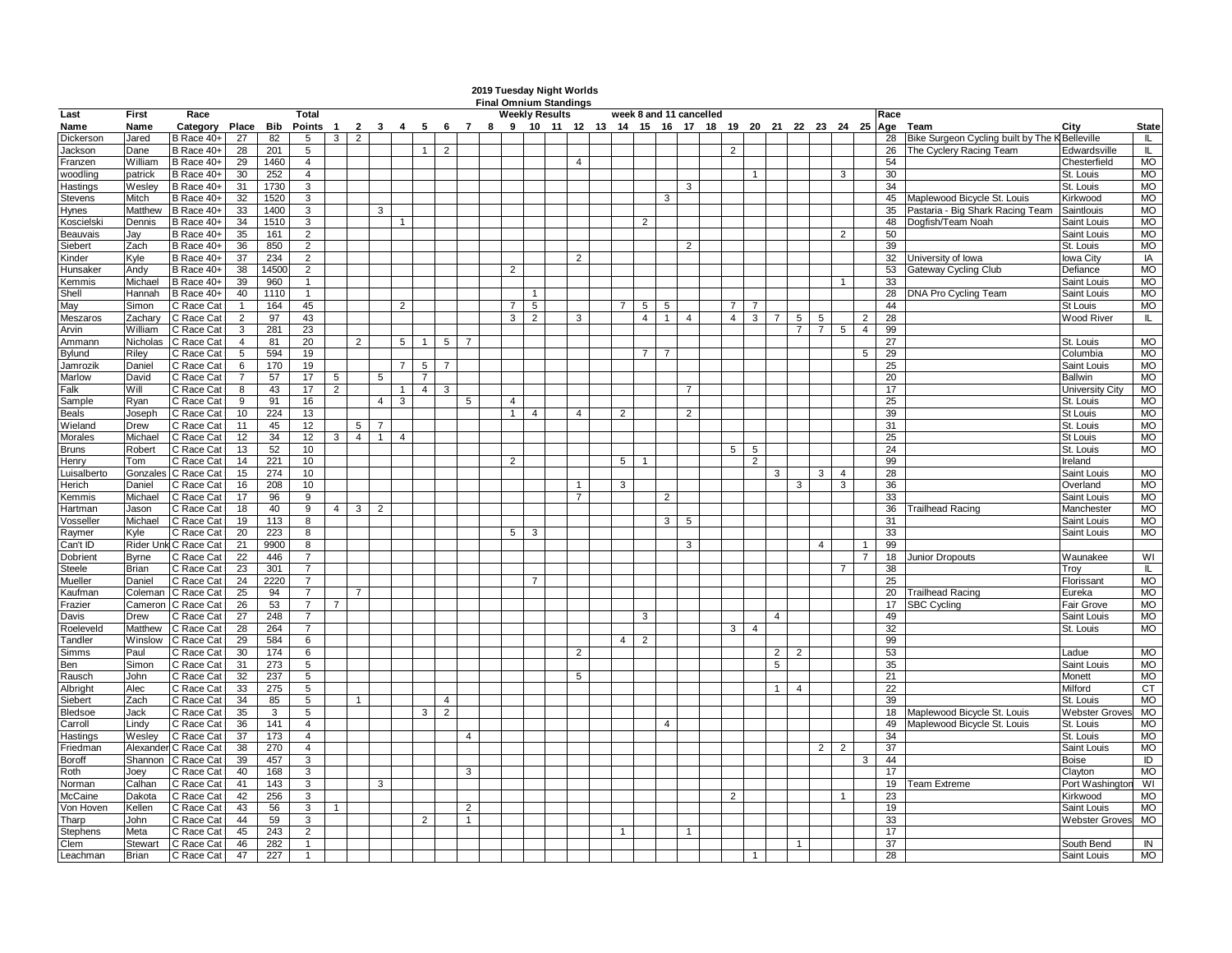|                    |                 |                          |                 |       |                                                                                       |                |                |                |                |                |                |                |                |                | 2019 Tuesday Night Worlds<br><b>Final Omnium Standings</b> |                |                         |                |                |                |                |                |                                  |                |                |                |                |                 |                                                |                       |                        |
|--------------------|-----------------|--------------------------|-----------------|-------|---------------------------------------------------------------------------------------|----------------|----------------|----------------|----------------|----------------|----------------|----------------|----------------|----------------|------------------------------------------------------------|----------------|-------------------------|----------------|----------------|----------------|----------------|----------------|----------------------------------|----------------|----------------|----------------|----------------|-----------------|------------------------------------------------|-----------------------|------------------------|
| Last               | First           | Race                     |                 |       | Total                                                                                 |                |                |                |                |                |                |                |                |                | Weekly Results                                             |                | week 8 and 11 cancelled |                |                |                |                |                |                                  |                |                |                |                | Race            |                                                |                       |                        |
| Name               | Name            | Category Place           |                 |       | Bib Points 1 2 3 4 5 6 7 8 9 10 11 12 13 14 15 16 17 18 19 20 21 22 23 24 25 Age Team |                |                |                |                |                |                |                |                |                |                                                            |                |                         |                |                |                |                |                |                                  |                |                |                |                |                 |                                                | City                  | <b>State</b>           |
| Dickerson          | Jared           | B Race 40+               | 27              | 82    | 5                                                                                     | 3 <sup>1</sup> | 2              |                |                |                |                |                |                |                |                                                            |                |                         |                |                |                |                |                |                                  |                |                |                |                | 28              | Bike Surgeon Cycling built by The K Belleville |                       | L                      |
| Jackson            | Dane            | B Race 40+               | 28              | 201   | 5                                                                                     |                |                |                |                | -1 I           | 2              |                |                |                |                                                            |                |                         |                |                |                | 2              |                |                                  |                |                |                |                | 26              | The Cyclery Racing Team                        | Edwardsville          | IL.                    |
| Franzen            | William         | B Race 40+               | 29              | 1460  | $\overline{4}$                                                                        |                |                |                |                |                |                |                |                |                |                                                            | $\overline{4}$ |                         |                |                |                |                |                |                                  |                |                |                |                | 54              |                                                | Chesterfield          | <b>MO</b>              |
| woodling           | patrick         | B Race 40+               | 30              | 252   | $\overline{4}$                                                                        |                |                |                |                |                |                |                |                |                |                                                            |                |                         |                |                |                |                |                |                                  |                |                | 3              |                | 30              |                                                | St. Louis             | <b>MO</b>              |
| Hastings           | Wesley          | B Race 40+               | 31              | 1730  | 3                                                                                     |                |                |                |                |                |                |                |                |                |                                                            |                |                         |                |                | 3              |                |                |                                  |                |                |                |                | 34              |                                                | St. Louis             | MO                     |
| Stevens            | Mitch           | B Race 40+               | 32              | 1520  | 3                                                                                     |                |                |                |                |                |                |                |                |                |                                                            |                |                         |                | 3              |                |                |                |                                  |                |                |                |                | 45              | Maplewood Bicycle St. Louis                    | Kirkwood              | MO                     |
| Hynes              | Matthew         | B Race 40+               | 33              | 1400  | 3                                                                                     |                |                | 3              |                |                |                |                |                |                |                                                            |                |                         |                |                |                |                |                |                                  |                |                |                |                | 35              | Pastaria - Big Shark Racing Team               | Saintlouis            | <b>MO</b>              |
| Koscielski         | Dennis          | B Race 40+               | 34              | 1510  | 3                                                                                     |                |                |                | $\mathbf{1}$   |                |                |                |                |                |                                                            |                |                         | $\overline{2}$ |                |                |                |                |                                  |                |                |                |                | 48              | Dogfish/Team Noah                              | Saint Louis           | <b>MO</b>              |
| Beauvais           | Jay             | B Race 40+               | 35              | 161   | $\overline{2}$                                                                        |                |                |                |                |                |                |                |                |                |                                                            |                |                         |                |                |                |                |                |                                  |                |                | 2              |                | 50              |                                                | Saint Louis           | <b>MO</b>              |
| Siebert            | Zach            | B Race 40+               | 36              | 850   | $\overline{2}$                                                                        |                |                |                |                |                |                |                |                |                |                                                            |                |                         |                | $\overline{2}$ |                |                |                |                                  |                |                |                |                | 39              |                                                | St. Louis             | MO                     |
| Kinder             | Kyle            | B Race 40+               | 37              | 234   | $\overline{2}$                                                                        |                |                |                |                |                |                |                |                |                |                                                            | 2              |                         |                |                |                |                |                |                                  |                |                |                |                | 32              | University of Iowa                             | lowa City             | IA                     |
| Hunsaker           | Andy            | B Race 40+               | 38              | 14500 | $\overline{2}$                                                                        |                |                |                |                |                |                |                | $\overline{2}$ |                |                                                            |                |                         |                |                |                |                |                |                                  |                |                |                |                | 53              | <b>Gateway Cycling Club</b>                    | Defiance              | <b>MO</b>              |
| Kemmis             | Michael         | B Race 40+               | 39              | 960   | $\overline{1}$                                                                        |                |                |                |                |                |                |                |                |                |                                                            |                |                         |                |                |                |                |                |                                  |                |                |                |                | 33              |                                                | Saint Louis           | <b>MO</b>              |
| Shell              | Hannah          | B Race 40+               | 40              | 1110  | $\overline{1}$                                                                        |                |                |                |                |                |                |                |                |                |                                                            |                |                         |                |                |                |                |                |                                  |                |                |                |                | 28              | <b>DNA Pro Cycling Team</b>                    | Saint Louis           | MO                     |
| May                | Simon           | C Race Cat               | $\mathbf{1}$    | 164   | 45                                                                                    |                |                |                | 2              |                |                |                | $\overline{7}$ | 5              |                                                            |                |                         | 5              | 5              |                |                |                |                                  |                |                |                |                | 44              |                                                | St Louis              | <b>MO</b>              |
| Meszaros           | Zachary         | C Race Cat               | $\overline{2}$  | 97    | 43                                                                                    |                |                |                |                |                |                |                | 3 <sup>1</sup> | $\overline{2}$ |                                                            | 3              |                         | $\overline{4}$ | 1              | $\overline{4}$ | $\overline{4}$ |                | 3 <sup>1</sup><br>$\overline{7}$ | 5 <sup>5</sup> | 5              |                | $\overline{2}$ | 28              |                                                | Wood River            | IL.                    |
| Arvin              | William         | C Race Cat               | 3               | 281   | 23                                                                                    |                |                |                |                |                |                |                |                |                |                                                            |                |                         |                |                |                |                |                |                                  | $\overline{7}$ | $\overline{7}$ | 5 <sup>5</sup> | $\overline{4}$ | 99              |                                                |                       |                        |
| Ammann             | Nicholas        | C Race Cat               | $\overline{4}$  | 81    | 20                                                                                    |                | 2              |                |                | 5 1            | 5   7          |                |                |                |                                                            |                |                         |                |                |                |                |                |                                  |                |                |                |                | $\overline{27}$ |                                                | St. Louis             | MO                     |
| Bylund             | Riley           | C Race Cat               | $5\overline{5}$ | 594   | 19                                                                                    |                |                |                |                |                |                |                |                |                |                                                            |                |                         | $\overline{7}$ | $\overline{7}$ |                |                |                |                                  |                |                |                | 5              | 29              |                                                | Columbia              | <b>MO</b>              |
| Jamrozik           | Daniel          | C Race Cat               | 6               | 170   | 19                                                                                    |                |                |                | 7 I            | 5 <sup>1</sup> | $\overline{7}$ |                |                |                |                                                            |                |                         |                |                |                |                |                |                                  |                |                |                |                | 25              |                                                | Saint Louis           | <b>MO</b>              |
| Marlow             | David           | C Race Cat               | $\overline{7}$  | 57    | 17                                                                                    | 5              |                | 5              |                | $\overline{7}$ |                |                |                |                |                                                            |                |                         |                |                |                |                |                |                                  |                |                |                |                | 20              |                                                | <b>Ballwin</b>        | MO                     |
| Falk               | Will            | C Race Cat               | 8               | 43    | 17                                                                                    | $\overline{2}$ |                |                | 1              | 4              | 3              |                |                |                |                                                            |                |                         |                |                | 7              |                |                |                                  |                |                |                |                | 17              |                                                | University City       | <b>MO</b>              |
| Sample             | Ryan            | C Race Cat               | 9               | 91    | 16                                                                                    |                |                | 4 <sup>1</sup> | $\mathbf{3}$   |                |                | 5              | $\overline{4}$ |                |                                                            |                |                         |                |                |                |                |                |                                  |                |                |                |                | 25              |                                                | St. Louis             | <b>MO</b>              |
| Beals              | Joseph          | C Race Cat               | 10              | 224   | 13                                                                                    |                |                |                |                |                |                |                | $\overline{1}$ | $\overline{4}$ |                                                            | $\overline{4}$ | $\overline{2}$          |                |                | $\overline{2}$ |                |                |                                  |                |                |                |                | 39              |                                                | St Louis              | <b>MO</b>              |
| Wieland            | Drew            | C Race Cat               | 11              | 45    | 12                                                                                    |                | 5              |                |                |                |                |                |                |                |                                                            |                |                         |                |                |                |                |                |                                  |                |                |                |                | 31              |                                                | St. Louis             | <b>MO</b>              |
| Morales            | Michael         | C Race Cat               | 12              | 34    | 12                                                                                    | 3 <sup>1</sup> | 4              | $\mathbf{1}$   | $\overline{4}$ |                |                |                |                |                |                                                            |                |                         |                |                |                |                |                |                                  |                |                |                |                | 25              |                                                | St Louis              | <b>MO</b>              |
| Bruns              | Robert          | C Race Cat               | 13              | 52    | 10                                                                                    |                |                |                |                |                |                |                |                |                |                                                            |                |                         |                |                |                | 5 <sup>5</sup> | 5              |                                  |                |                |                |                | 24              |                                                | St. Louis             | <b>MO</b>              |
| Henry              | Tom             | C Race Cat               | 14              | 221   | 10                                                                                    |                |                |                |                |                |                |                | 2              |                |                                                            |                | 5                       | -1             |                |                |                | $\overline{2}$ |                                  |                |                |                |                | 99              |                                                | Ireland               |                        |
| Luisalberto        | Gonzales        | C Race Cat               | 15              | 274   | 10                                                                                    |                |                |                |                |                |                |                |                |                |                                                            |                |                         |                |                |                |                |                | 3                                |                | 3              | $\overline{4}$ |                | 28              |                                                | Saint Louis           | MO                     |
| Herich             | Daniel          | C Race Cat               | 16              | 208   | 10                                                                                    |                |                |                |                |                |                |                |                |                |                                                            | $\overline{1}$ | 3                       |                |                |                |                |                |                                  | 3              |                | 3              |                | 36              |                                                | Overland              | <b>MO</b>              |
| Kemmis             | Michael         | C Race Cat               | 17              | 96    | 9                                                                                     |                |                |                |                |                |                |                |                |                |                                                            | $\overline{7}$ |                         |                | $\overline{2}$ |                |                |                |                                  |                |                |                |                | 33              |                                                | Saint Louis           | <b>MO</b>              |
| Hartman            | Jason           | C Race Cat               | 18              | 40    | 9                                                                                     | 4 I            | 3 <sup>1</sup> | 2              |                |                |                |                |                |                |                                                            |                |                         |                |                |                |                |                |                                  |                |                |                |                | 36              | <b>Trailhead Racing</b>                        | Manchester            | <b>MO</b>              |
| Vosseller          | Michael         | C Race Cat               | 19              | 113   | 8                                                                                     |                |                |                |                |                |                |                |                |                |                                                            |                |                         |                | 3 I            | -5             |                |                |                                  |                |                |                |                | 31              |                                                | Saint Louis           | MO                     |
| Raymer             | Kvle            | C Race Cat               | 20              | 223   | 8                                                                                     |                |                |                |                |                |                |                | 5 <sup>1</sup> | $\mathbf{3}$   |                                                            |                |                         |                |                |                |                |                |                                  |                |                |                |                | 33              |                                                | Saint Louis           | <b>MO</b>              |
| Can't ID           |                 | Rider Unk C Race Cat     | 21              | 9900  | 8                                                                                     |                |                |                |                |                |                |                |                |                |                                                            |                |                         |                |                | 3              |                |                |                                  |                | $\overline{4}$ |                |                | 99              |                                                |                       |                        |
| Dobrient           | Byrne           | C Race Cat               | 22              | 446   | 7                                                                                     |                |                |                |                |                |                |                |                |                |                                                            |                |                         |                |                |                |                |                |                                  |                |                |                | $\overline{7}$ | 18              | <b>Junior Dropouts</b>                         | Waunakee              | WI                     |
| Steele             | Brian           | C Race Cat               | 23              | 301   |                                                                                       |                |                |                |                |                |                |                |                |                |                                                            |                |                         |                |                |                |                |                |                                  |                |                |                |                | 38              |                                                | Troy                  | IL.                    |
| Mueller            | Daniel          | C Race Cat               | 24              | 2220  | $\overline{7}$                                                                        |                |                |                |                |                |                |                |                |                |                                                            |                |                         |                |                |                |                |                |                                  |                |                |                |                | 25              |                                                | Florissant            | <b>MO</b>              |
|                    | Coleman         |                          |                 | 94    | 7                                                                                     |                | $\overline{7}$ |                |                |                |                |                |                |                |                                                            |                |                         |                |                |                |                |                |                                  |                |                |                |                | 20              | <b>Trailhead Racing</b>                        | Eureka                | <b>MO</b>              |
| Kaufman<br>Frazier | Cameron         | C Race Cat<br>C Race Cat | 25<br>26        | 53    | $\overline{7}$                                                                        | $\overline{7}$ |                |                |                |                |                |                |                |                |                                                            |                |                         |                |                |                |                |                |                                  |                |                |                |                | 17              | <b>SBC Cycling</b>                             | Fair Grove            | <b>MO</b>              |
|                    |                 | C Race Cat               | 27              | 248   | $\overline{7}$                                                                        |                |                |                |                |                |                |                |                |                |                                                            |                |                         |                |                |                |                |                | -4                               |                |                |                |                | 49              |                                                | Saint Louis           | <b>MO</b>              |
| Davis<br>Roeleveld | Drew<br>Matthew | C Race Cat               | 28              | 264   | $\overline{7}$                                                                        |                |                |                |                |                |                |                |                |                |                                                            |                |                         | 3              |                |                | 3              | $\overline{4}$ |                                  |                |                |                |                | 32              |                                                | St. Louis             | <b>MO</b>              |
|                    | Winslow         |                          |                 |       |                                                                                       |                |                |                |                |                |                |                |                |                |                                                            |                | 4 <sup>1</sup>          | 2              |                |                |                |                |                                  |                |                |                |                | 99              |                                                |                       |                        |
| Tandler            | Paul            | C Race Cat               | 29              | 584   | 6                                                                                     |                |                |                |                |                |                |                |                |                |                                                            |                |                         |                |                |                |                |                |                                  |                |                |                |                |                 |                                                |                       | <b>MO</b>              |
| Simms              |                 | C Race Cat               | 30              | 174   | 6                                                                                     |                |                |                |                |                |                |                |                |                |                                                            | 2              |                         |                |                |                |                |                | $\overline{2}$                   | $\overline{2}$ |                |                |                | 53              |                                                | Ladue                 |                        |
| Ben                | Simon           | C Race Cat               | 31              | 273   | 5                                                                                     |                |                |                |                |                |                |                |                |                |                                                            | $5^{\circ}$    |                         |                |                |                |                |                | 5                                |                |                |                |                | 35<br>21        |                                                | Saint Louis           | <b>MO</b><br><b>MO</b> |
| Rausch             | John            | C Race Cat               | 32              | 237   | 5                                                                                     |                |                |                |                |                |                |                |                |                |                                                            |                |                         |                |                |                |                |                |                                  |                |                |                |                |                 |                                                | Monett                |                        |
| Albright           | Alec            | C Race Cat               | 33              | 275   | 5                                                                                     |                |                |                |                |                |                |                |                |                |                                                            |                |                         |                |                |                |                |                | $\overline{1}$                   | $\overline{4}$ |                |                |                | 22              |                                                | Milford               | CT                     |
| Siebert            | Zach            | C Race Cat               | 34              | 85    | 5                                                                                     |                |                |                |                |                | 4              |                |                |                |                                                            |                |                         |                |                |                |                |                |                                  |                |                |                |                | 39              |                                                | St. Louis             | <b>MO</b>              |
| Bledsoe            | Jack            | C Race Cat               | 35              | 3     | 5                                                                                     |                |                |                |                | 3 <sup>1</sup> | $\overline{2}$ |                |                |                |                                                            |                |                         |                |                |                |                |                |                                  |                |                |                |                | 18              | Maplewood Bicycle St. Louis                    | <b>Webster Groves</b> | <b>MO</b>              |
| Carroll            | Lindy           | C Race Cat               | 36              | 141   | $\overline{4}$                                                                        |                |                |                |                |                |                |                |                |                |                                                            |                |                         |                | $\overline{4}$ |                |                |                |                                  |                |                |                |                | 49              | Maplewood Bicycle St. Louis                    | St. Louis             | <b>MO</b>              |
| Hastings           | Weslev          | C Race Cat               | 37              | 173   | $\overline{4}$                                                                        |                |                |                |                |                |                | $\overline{4}$ |                |                |                                                            |                |                         |                |                |                |                |                |                                  |                |                |                |                | 34              |                                                | St. Louis             | <b>MO</b>              |
| Friedman           | Alexander       | C Race Cat               | 38              | 270   | $\overline{4}$                                                                        |                |                |                |                |                |                |                |                |                |                                                            |                |                         |                |                |                |                |                |                                  |                | 2              | $\overline{2}$ |                | 37              |                                                | Saint Louis           | MO                     |
| Boroff             | Shannon         | C Race Cat               | 39              | 457   | 3                                                                                     |                |                |                |                |                |                |                |                |                |                                                            |                |                         |                |                |                |                |                |                                  |                |                |                | 3              | 44              |                                                | <b>Boise</b>          | ID                     |
| Roth               | Joey            | C Race Cat               | 40              | 168   | 3                                                                                     |                |                |                |                |                |                | 3              |                |                |                                                            |                |                         |                |                |                |                |                |                                  |                |                |                |                | 17              |                                                | Clayton               | MO                     |
| Norman             | Calhan          | C Race Cat               | 41              | 143   | 3                                                                                     |                |                | 3              |                |                |                |                |                |                |                                                            |                |                         |                |                |                |                |                |                                  |                |                |                |                | 19              | Team Extreme                                   | Port Washington       | WI                     |
| McCaine            | Dakota          | C Race Cat               | 42              | 256   | 3                                                                                     |                |                |                |                |                |                |                |                |                |                                                            |                |                         |                |                |                | $\overline{2}$ |                |                                  |                |                |                |                | 23              |                                                | Kirkwood              | <b>MO</b>              |
| Von Hoven          | Kellen          | C Race Cat               | 43              | 56    | 3                                                                                     |                |                |                |                |                |                | $\overline{2}$ |                |                |                                                            |                |                         |                |                |                |                |                |                                  |                |                |                |                | 19              |                                                | Saint Louis           | <b>MO</b>              |
| Tharp              | John            | C Race Cat               | 44              | 59    | 3                                                                                     |                |                |                |                | 2              |                | $\mathbf{1}$   |                |                |                                                            |                |                         |                |                |                |                |                |                                  |                |                |                |                | 33              |                                                | <b>Webster Groves</b> | MO                     |
| Stephens           | Meta            | C Race Cat               | 45              | 243   | $\overline{2}$                                                                        |                |                |                |                |                |                |                |                |                |                                                            |                |                         |                |                |                |                |                |                                  |                |                |                |                | 17              |                                                |                       |                        |

Clem Stewart C Race Cat 5 46 282 1 1 37 South Bend IN Leachman Brian C Race Cat 5 47 227 1 1 28 Saint Louis MO